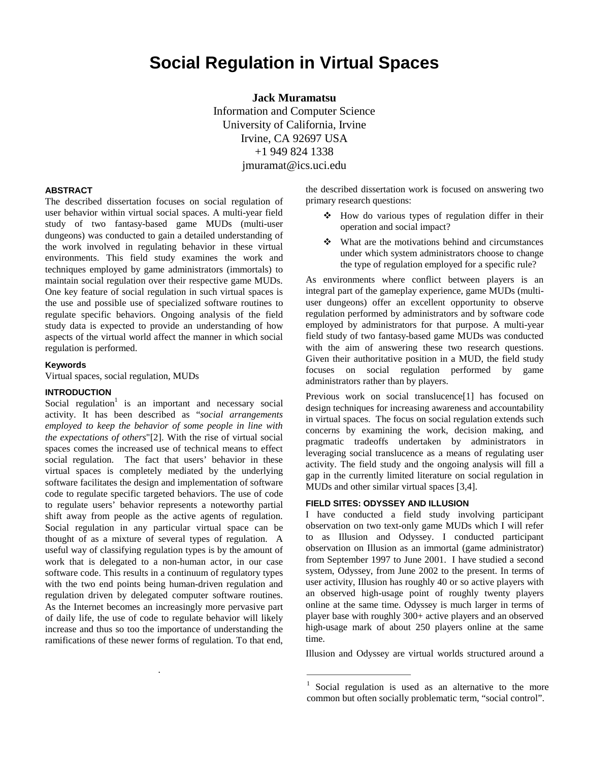# **Social Regulation in Virtual Spaces**

**Jack Muramatsu**  Information and Computer Science University of California, Irvine Irvine, CA 92697 USA +1 949 824 1338 jmuramat@ics.uci.edu

# **ABSTRACT**

The described dissertation focuses on social regulation of user behavior within virtual social spaces. A multi-year field study of two fantasy-based game MUDs (multi-user dungeons) was conducted to gain a detailed understanding of the work involved in regulating behavior in these virtual environments. This field study examines the work and techniques employed by game administrators (immortals) to maintain social regulation over their respective game MUDs. One key feature of social regulation in such virtual spaces is the use and possible use of specialized software routines to regulate specific behaviors. Ongoing analysis of the field study data is expected to provide an understanding of how aspects of the virtual world affect the manner in which social regulation is performed.

#### **Keywords**

Virtual spaces, social regulation, MUDs

## **INTRODUCTION**

Social regulation<sup>1</sup> is an important and necessary social activity. It has been described as "*social arrangements employed to keep the behavior of some people in line with the expectations of others*"[2]. With the rise of virtual social spaces comes the increased use of technical means to effect social regulation. The fact that users' behavior in these virtual spaces is completely mediated by the underlying software facilitates the design and implementation of software code to regulate specific targeted behaviors. The use of code to regulate users' behavior represents a noteworthy partial shift away from people as the active agents of regulation. Social regulation in any particular virtual space can be thought of as a mixture of several types of regulation. A useful way of classifying regulation types is by the amount of work that is delegated to a non-human actor, in our case software code. This results in a continuum of regulatory types with the two end points being human-driven regulation and regulation driven by delegated computer software routines. As the Internet becomes an increasingly more pervasive part of daily life, the use of code to regulate behavior will likely increase and thus so too the importance of understanding the ramifications of these newer forms of regulation. To that end,

*.* 

the described dissertation work is focused on answering two primary research questions:

- How do various types of regulation differ in their operation and social impact?
- What are the motivations behind and circumstances under which system administrators choose to change the type of regulation employed for a specific rule?

As environments where conflict between players is an integral part of the gameplay experience, game MUDs (multiuser dungeons) offer an excellent opportunity to observe regulation performed by administrators and by software code employed by administrators for that purpose. A multi-year field study of two fantasy-based game MUDs was conducted with the aim of answering these two research questions. Given their authoritative position in a MUD, the field study focuses on social regulation performed by game administrators rather than by players.

Previous work on social translucence[1] has focused on design techniques for increasing awareness and accountability in virtual spaces. The focus on social regulation extends such concerns by examining the work, decision making, and pragmatic tradeoffs undertaken by administrators in leveraging social translucence as a means of regulating user activity. The field study and the ongoing analysis will fill a gap in the currently limited literature on social regulation in MUDs and other similar virtual spaces [3,4].

#### **FIELD SITES: ODYSSEY AND ILLUSION**

I have conducted a field study involving participant observation on two text-only game MUDs which I will refer to as Illusion and Odyssey. I conducted participant observation on Illusion as an immortal (game administrator) from September 1997 to June 2001. I have studied a second system, Odyssey, from June 2002 to the present. In terms of user activity, Illusion has roughly 40 or so active players with an observed high-usage point of roughly twenty players online at the same time. Odyssey is much larger in terms of player base with roughly 300+ active players and an observed high-usage mark of about 250 players online at the same time.

Illusion and Odyssey are virtual worlds structured around a

<sup>&</sup>lt;sup>1</sup> Social regulation is used as an alternative to the more common but often socially problematic term, "social control".